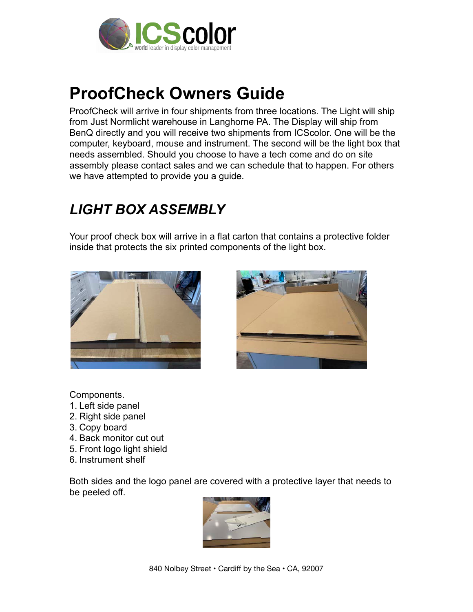

# **ProofCheck Owners Guide**

ProofCheck will arrive in four shipments from three locations. The Light will ship from Just Normlicht warehouse in Langhorne PA. The Display will ship from BenQ directly and you will receive two shipments from ICScolor. One will be the computer, keyboard, mouse and instrument. The second will be the light box that needs assembled. Should you choose to have a tech come and do on site assembly please contact sales and we can schedule that to happen. For others we have attempted to provide you a guide.

#### *LIGHT BOX ASSEMBLY*

Your proof check box will arrive in a flat carton that contains a protective folder inside that protects the six printed components of the light box.





Components.

- 1. Left side panel
- 2. Right side panel
- 3. Copy board
- 4. Back monitor cut out
- 5. Front logo light shield
- 6. Instrument shelf

Both sides and the logo panel are covered with a protective layer that needs to be peeled off.

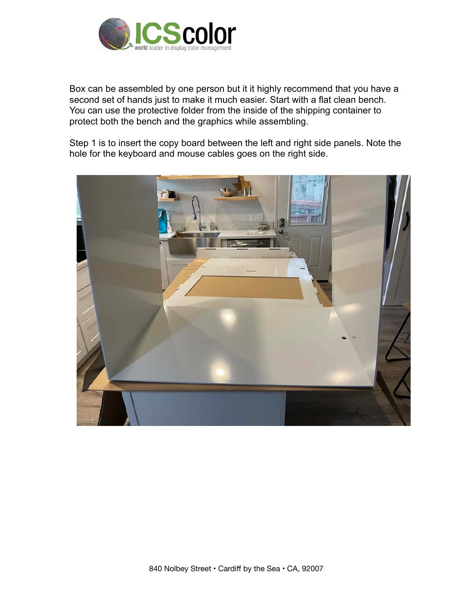

Box can be assembled by one person but it it highly recommend that you have a second set of hands just to make it much easier. Start with a flat clean bench. You can use the protective folder from the inside of the shipping container to protect both the bench and the graphics while assembling.

Step 1 is to insert the copy board between the left and right side panels. Note the hole for the keyboard and mouse cables goes on the right side.

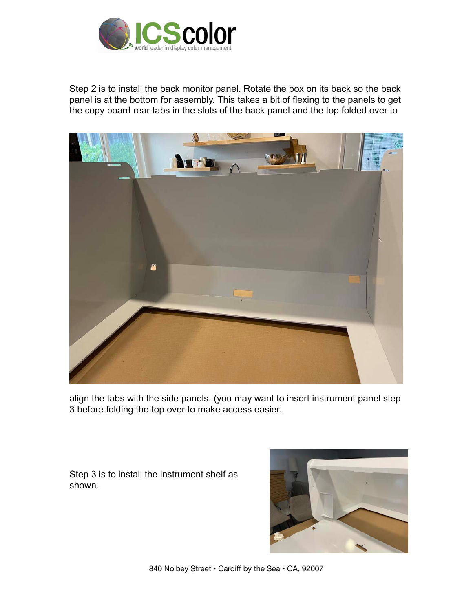

Step 2 is to install the back monitor panel. Rotate the box on its back so the back panel is at the bottom for assembly. This takes a bit of flexing to the panels to get the copy board rear tabs in the slots of the back panel and the top folded over to



align the tabs with the side panels. (you may want to insert instrument panel step 3 before folding the top over to make access easier.

Step 3 is to install the instrument shelf as shown.



840 Nolbey Street • Cardiff by the Sea • CA, 92007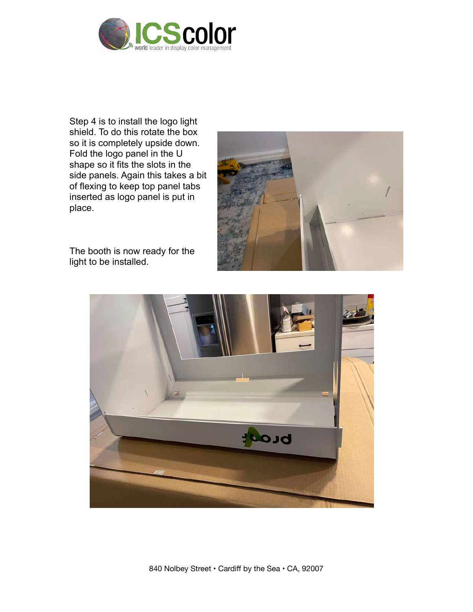

Step 4 is to install the logo light shield. To do this rotate the box so it is completely upside down. Fold the logo panel in the U shape so it fits the slots in the side panels. Again this takes a bit of flexing to keep top panel tabs inserted as logo panel is put in place.



The booth is now ready for the light to be installed.

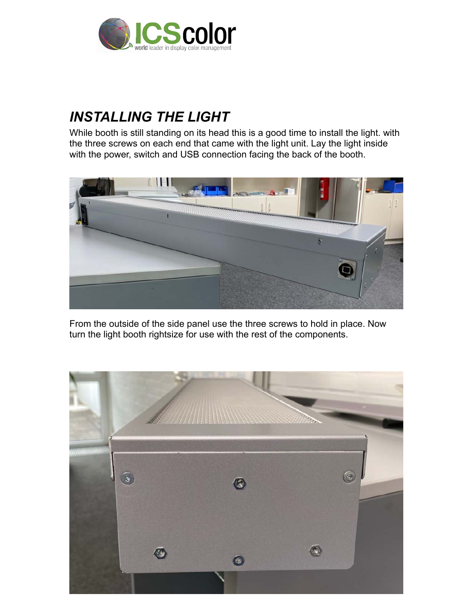

### *INSTALLING THE LIGHT*

While booth is still standing on its head this is a good time to install the light. with the three screws on each end that came with the light unit. Lay the light inside with the power, switch and USB connection facing the back of the booth.



From the outside of the side panel use the three screws to hold in place. Now turn the light booth rightsize for use with the rest of the components.

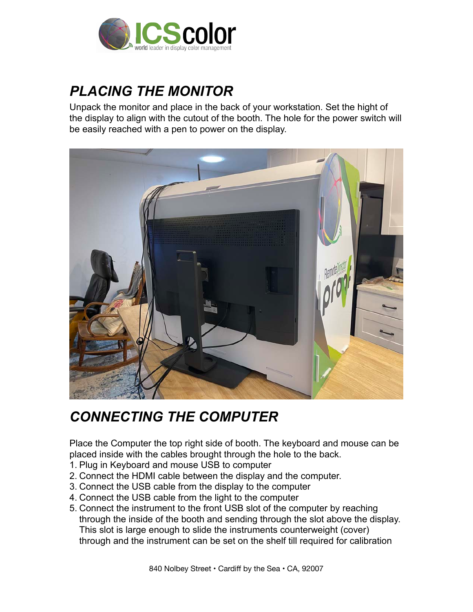

### *PLACING THE MONITOR*

Unpack the monitor and place in the back of your workstation. Set the hight of the display to align with the cutout of the booth. The hole for the power switch will be easily reached with a pen to power on the display.



### *CONNECTING THE COMPUTER*

Place the Computer the top right side of booth. The keyboard and mouse can be placed inside with the cables brought through the hole to the back.

- 1. Plug in Keyboard and mouse USB to computer
- 2. Connect the HDMI cable between the display and the computer.
- 3. Connect the USB cable from the display to the computer
- 4. Connect the USB cable from the light to the computer
- 5. Connect the instrument to the front USB slot of the computer by reaching through the inside of the booth and sending through the slot above the display. This slot is large enough to slide the instruments counterweight (cover) through and the instrument can be set on the shelf till required for calibration